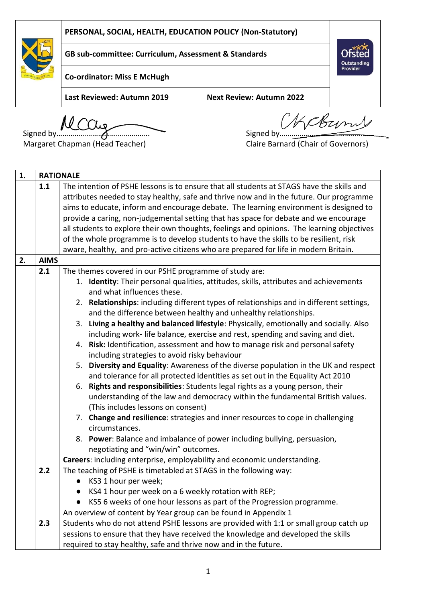

**GB sub-committee: Curriculum, Assessment & Standards**



**Co-ordinator: Miss E McHugh**

**Last Reviewed: Autumn 2019 Next Review: Autumn 2022**

Signed by **MCCUg**<br>Signed by Signed by

Margaret Chapman (Head Teacher) Claire Barnard (Chair of Governors)

| 1. |             | <b>RATIONALE</b>                                                                           |  |  |  |  |
|----|-------------|--------------------------------------------------------------------------------------------|--|--|--|--|
|    | 1.1         | The intention of PSHE lessons is to ensure that all students at STAGS have the skills and  |  |  |  |  |
|    |             | attributes needed to stay healthy, safe and thrive now and in the future. Our programme    |  |  |  |  |
|    |             | aims to educate, inform and encourage debate. The learning environment is designed to      |  |  |  |  |
|    |             | provide a caring, non-judgemental setting that has space for debate and we encourage       |  |  |  |  |
|    |             | all students to explore their own thoughts, feelings and opinions. The learning objectives |  |  |  |  |
|    |             | of the whole programme is to develop students to have the skills to be resilient, risk     |  |  |  |  |
|    |             | aware, healthy, and pro-active citizens who are prepared for life in modern Britain.       |  |  |  |  |
| 2. | <b>AIMS</b> |                                                                                            |  |  |  |  |
|    | 2.1         | The themes covered in our PSHE programme of study are:                                     |  |  |  |  |
|    |             | 1. Identity: Their personal qualities, attitudes, skills, attributes and achievements      |  |  |  |  |
|    |             | and what influences these.                                                                 |  |  |  |  |
|    |             | 2. Relationships: including different types of relationships and in different settings,    |  |  |  |  |
|    |             | and the difference between healthy and unhealthy relationships.                            |  |  |  |  |
|    |             | 3. Living a healthy and balanced lifestyle: Physically, emotionally and socially. Also     |  |  |  |  |
|    |             | including work-life balance, exercise and rest, spending and saving and diet.              |  |  |  |  |
|    |             | 4. Risk: Identification, assessment and how to manage risk and personal safety             |  |  |  |  |
|    |             | including strategies to avoid risky behaviour                                              |  |  |  |  |
|    |             | 5. Diversity and Equality: Awareness of the diverse population in the UK and respect       |  |  |  |  |
|    |             | and tolerance for all protected identities as set out in the Equality Act 2010             |  |  |  |  |
|    |             | 6. Rights and responsibilities: Students legal rights as a young person, their             |  |  |  |  |
|    |             | understanding of the law and democracy within the fundamental British values.              |  |  |  |  |
|    |             | (This includes lessons on consent)                                                         |  |  |  |  |
|    |             | 7. Change and resilience: strategies and inner resources to cope in challenging            |  |  |  |  |
|    |             | circumstances.                                                                             |  |  |  |  |
|    |             | 8. Power: Balance and imbalance of power including bullying, persuasion,                   |  |  |  |  |
|    |             | negotiating and "win/win" outcomes.                                                        |  |  |  |  |
|    |             | Careers: including enterprise, employability and economic understanding.                   |  |  |  |  |
|    | 2.2         | The teaching of PSHE is timetabled at STAGS in the following way:                          |  |  |  |  |
|    |             | KS3 1 hour per week;                                                                       |  |  |  |  |
|    |             | KS4 1 hour per week on a 6 weekly rotation with REP;                                       |  |  |  |  |
|    |             | KS5 6 weeks of one hour lessons as part of the Progression programme.                      |  |  |  |  |
|    |             | An overview of content by Year group can be found in Appendix 1                            |  |  |  |  |
|    | 2.3         | Students who do not attend PSHE lessons are provided with 1:1 or small group catch up      |  |  |  |  |
|    |             | sessions to ensure that they have received the knowledge and developed the skills          |  |  |  |  |
|    |             | required to stay healthy, safe and thrive now and in the future.                           |  |  |  |  |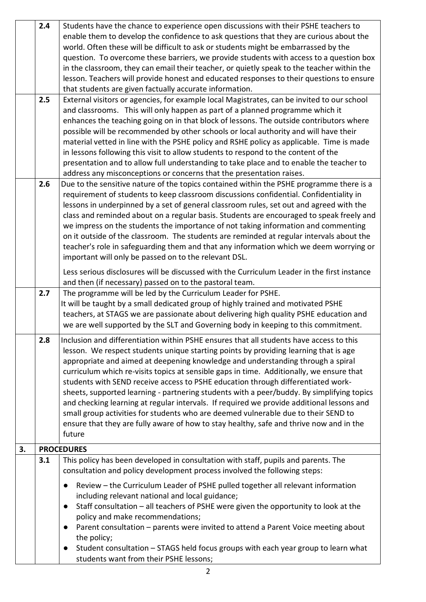|    | 2.4 | Students have the chance to experience open discussions with their PSHE teachers to<br>enable them to develop the confidence to ask questions that they are curious about the<br>world. Often these will be difficult to ask or students might be embarrassed by the<br>question. To overcome these barriers, we provide students with access to a question box<br>in the classroom, they can email their teacher, or quietly speak to the teacher within the<br>lesson. Teachers will provide honest and educated responses to their questions to ensure<br>that students are given factually accurate information.                                                                                                                                                                                                                    |
|----|-----|-----------------------------------------------------------------------------------------------------------------------------------------------------------------------------------------------------------------------------------------------------------------------------------------------------------------------------------------------------------------------------------------------------------------------------------------------------------------------------------------------------------------------------------------------------------------------------------------------------------------------------------------------------------------------------------------------------------------------------------------------------------------------------------------------------------------------------------------|
|    | 2.5 | External visitors or agencies, for example local Magistrates, can be invited to our school<br>and classrooms. This will only happen as part of a planned programme which it<br>enhances the teaching going on in that block of lessons. The outside contributors where<br>possible will be recommended by other schools or local authority and will have their<br>material vetted in line with the PSHE policy and RSHE policy as applicable. Time is made<br>in lessons following this visit to allow students to respond to the content of the<br>presentation and to allow full understanding to take place and to enable the teacher to<br>address any misconceptions or concerns that the presentation raises.                                                                                                                     |
|    | 2.6 | Due to the sensitive nature of the topics contained within the PSHE programme there is a<br>requirement of students to keep classroom discussions confidential. Confidentiality in<br>lessons in underpinned by a set of general classroom rules, set out and agreed with the<br>class and reminded about on a regular basis. Students are encouraged to speak freely and<br>we impress on the students the importance of not taking information and commenting<br>on it outside of the classroom. The students are reminded at regular intervals about the<br>teacher's role in safeguarding them and that any information which we deem worrying or<br>important will only be passed on to the relevant DSL.                                                                                                                          |
|    |     | Less serious disclosures will be discussed with the Curriculum Leader in the first instance<br>and then (if necessary) passed on to the pastoral team.                                                                                                                                                                                                                                                                                                                                                                                                                                                                                                                                                                                                                                                                                  |
|    | 2.7 | The programme will be led by the Curriculum Leader for PSHE.<br>It will be taught by a small dedicated group of highly trained and motivated PSHE<br>teachers, at STAGS we are passionate about delivering high quality PSHE education and<br>we are well supported by the SLT and Governing body in keeping to this commitment.                                                                                                                                                                                                                                                                                                                                                                                                                                                                                                        |
|    | 2.8 | Inclusion and differentiation within PSHE ensures that all students have access to this<br>lesson. We respect students unique starting points by providing learning that is age<br>appropriate and aimed at deepening knowledge and understanding through a spiral<br>curriculum which re-visits topics at sensible gaps in time. Additionally, we ensure that<br>students with SEND receive access to PSHE education through differentiated work-<br>sheets, supported learning - partnering students with a peer/buddy. By simplifying topics<br>and checking learning at regular intervals. If required we provide additional lessons and<br>small group activities for students who are deemed vulnerable due to their SEND to<br>ensure that they are fully aware of how to stay healthy, safe and thrive now and in the<br>future |
| 3. |     | <b>PROCEDURES</b>                                                                                                                                                                                                                                                                                                                                                                                                                                                                                                                                                                                                                                                                                                                                                                                                                       |
|    | 3.1 | This policy has been developed in consultation with staff, pupils and parents. The<br>consultation and policy development process involved the following steps:<br>Review - the Curriculum Leader of PSHE pulled together all relevant information<br>including relevant national and local guidance;                                                                                                                                                                                                                                                                                                                                                                                                                                                                                                                                   |
|    |     | Staff consultation - all teachers of PSHE were given the opportunity to look at the<br>policy and make recommendations;<br>Parent consultation - parents were invited to attend a Parent Voice meeting about<br>$\bullet$<br>the policy;<br>Student consultation - STAGS held focus groups with each year group to learn what<br>students want from their PSHE lessons;                                                                                                                                                                                                                                                                                                                                                                                                                                                                 |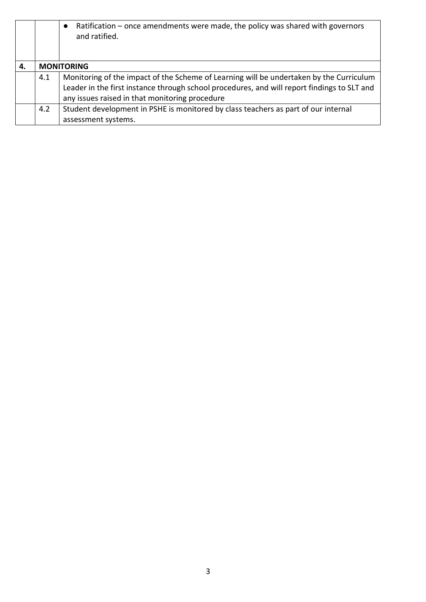|    |     | Ratification – once amendments were made, the policy was shared with governors<br>$\bullet$<br>and ratified.                                                                                                                             |
|----|-----|------------------------------------------------------------------------------------------------------------------------------------------------------------------------------------------------------------------------------------------|
|    |     |                                                                                                                                                                                                                                          |
| 4. |     | <b>MONITORING</b>                                                                                                                                                                                                                        |
|    | 4.1 | Monitoring of the impact of the Scheme of Learning will be undertaken by the Curriculum<br>Leader in the first instance through school procedures, and will report findings to SLT and<br>any issues raised in that monitoring procedure |
|    | 4.2 | Student development in PSHE is monitored by class teachers as part of our internal<br>assessment systems.                                                                                                                                |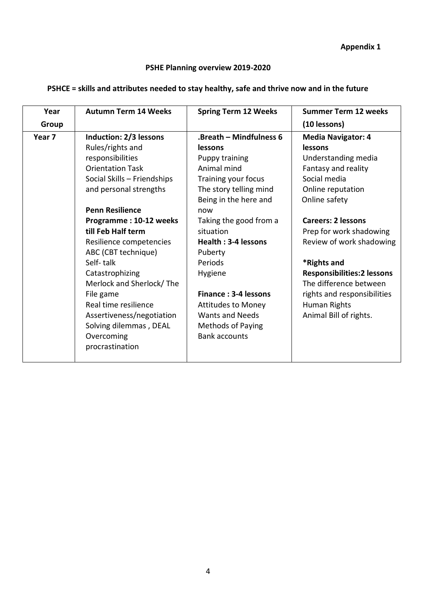**Appendix 1** 

## **PSHE Planning overview 2019-2020**

## **PSHCE = skills and attributes needed to stay healthy, safe and thrive now and in the future**

| Year   | <b>Autumn Term 14 Weeks</b> | <b>Spring Term 12 Weeks</b>    | <b>Summer Term 12 weeks</b>        |
|--------|-----------------------------|--------------------------------|------------------------------------|
| Group  |                             |                                | (10 lessons)                       |
| Year 7 | Induction: 2/3 lessons      | <b>Breath - Mindfulness 6.</b> | <b>Media Navigator: 4</b>          |
|        | Rules/rights and            | lessons                        | lessons                            |
|        | responsibilities            | Puppy training                 | Understanding media                |
|        | <b>Orientation Task</b>     | Animal mind                    | Fantasy and reality                |
|        | Social Skills - Friendships | Training your focus            | Social media                       |
|        | and personal strengths      | The story telling mind         | Online reputation                  |
|        |                             | Being in the here and          | Online safety                      |
|        | <b>Penn Resilience</b>      | now                            |                                    |
|        | Programme: 10-12 weeks      | Taking the good from a         | <b>Careers: 2 lessons</b>          |
|        | till Feb Half term          | situation                      | Prep for work shadowing            |
|        | Resilience competencies     | Health: 3-4 lessons            | Review of work shadowing           |
|        | ABC (CBT technique)         | Puberty                        |                                    |
|        | Self-talk                   | Periods                        | *Rights and                        |
|        | Catastrophizing             | Hygiene                        | <b>Responsibilities: 2 lessons</b> |
|        | Merlock and Sherlock/The    |                                | The difference between             |
|        | File game                   | Finance: 3-4 lessons           | rights and responsibilities        |
|        | Real time resilience        | <b>Attitudes to Money</b>      | Human Rights                       |
|        | Assertiveness/negotiation   | <b>Wants and Needs</b>         | Animal Bill of rights.             |
|        | Solving dilemmas, DEAL      | Methods of Paying              |                                    |
|        | Overcoming                  | <b>Bank accounts</b>           |                                    |
|        | procrastination             |                                |                                    |
|        |                             |                                |                                    |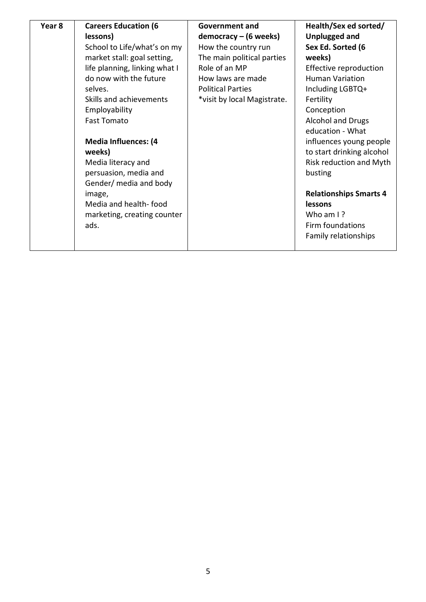| Year 8 | <b>Careers Education (6</b><br>lessons)<br>School to Life/what's on my<br>market stall: goal setting,<br>life planning, linking what I<br>do now with the future<br>selves.<br>Skills and achievements<br>Employability<br><b>Fast Tomato</b><br><b>Media Influences: (4</b><br>weeks)<br>Media literacy and<br>persuasion, media and<br>Gender/ media and body<br>image,<br>Media and health-food<br>marketing, creating counter<br>ads. | Government and<br>$democracy - (6 weeks)$<br>How the country run<br>The main political parties<br>Role of an MP<br>How laws are made<br><b>Political Parties</b><br>*visit by local Magistrate. | Health/Sex ed sorted/<br><b>Unplugged and</b><br>Sex Ed. Sorted (6<br>weeks)<br>Effective reproduction<br><b>Human Variation</b><br>Including LGBTQ+<br>Fertility<br>Conception<br><b>Alcohol and Drugs</b><br>education - What<br>influences young people<br>to start drinking alcohol<br>Risk reduction and Myth<br>busting<br><b>Relationships Smarts 4</b><br>lessons<br>Who am I?<br>Firm foundations<br>Family relationships |
|--------|-------------------------------------------------------------------------------------------------------------------------------------------------------------------------------------------------------------------------------------------------------------------------------------------------------------------------------------------------------------------------------------------------------------------------------------------|-------------------------------------------------------------------------------------------------------------------------------------------------------------------------------------------------|------------------------------------------------------------------------------------------------------------------------------------------------------------------------------------------------------------------------------------------------------------------------------------------------------------------------------------------------------------------------------------------------------------------------------------|
|--------|-------------------------------------------------------------------------------------------------------------------------------------------------------------------------------------------------------------------------------------------------------------------------------------------------------------------------------------------------------------------------------------------------------------------------------------------|-------------------------------------------------------------------------------------------------------------------------------------------------------------------------------------------------|------------------------------------------------------------------------------------------------------------------------------------------------------------------------------------------------------------------------------------------------------------------------------------------------------------------------------------------------------------------------------------------------------------------------------------|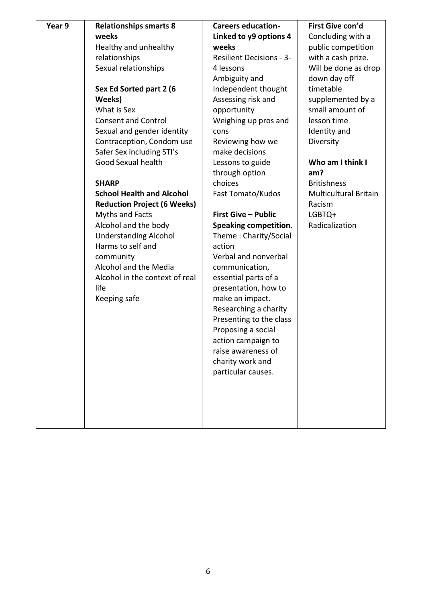| Year 9 | <b>Relationships smarts 8</b>      | <b>Careers education-</b>       | First Give con'd             |
|--------|------------------------------------|---------------------------------|------------------------------|
|        | weeks                              | Linked to y9 options 4          | Concluding with a            |
|        | Healthy and unhealthy              | weeks                           | public competition           |
|        | relationships                      | <b>Resilient Decisions - 3-</b> | with a cash prize.           |
|        | Sexual relationships               | 4 lessons                       | Will be done as drop         |
|        |                                    | Ambiguity and                   | down day off                 |
|        | Sex Ed Sorted part 2 (6            | Independent thought             | timetable                    |
|        | Weeks)                             | Assessing risk and              | supplemented by a            |
|        | What is Sex                        | opportunity                     | small amount of              |
|        | <b>Consent and Control</b>         | Weighing up pros and            | lesson time                  |
|        | Sexual and gender identity         | cons                            | Identity and                 |
|        | Contraception, Condom use          | Reviewing how we                | Diversity                    |
|        | Safer Sex including STI's          | make decisions                  |                              |
|        | Good Sexual health                 | Lessons to guide                | Who am I think I             |
|        |                                    | through option                  | am?                          |
|        | <b>SHARP</b>                       | choices                         | <b>Britishness</b>           |
|        | <b>School Health and Alcohol</b>   | Fast Tomato/Kudos               | <b>Multicultural Britain</b> |
|        | <b>Reduction Project (6 Weeks)</b> |                                 | Racism                       |
|        | Myths and Facts                    | <b>First Give - Public</b>      | LGBTQ+                       |
|        | Alcohol and the body               | <b>Speaking competition.</b>    | Radicalization               |
|        | <b>Understanding Alcohol</b>       | Theme: Charity/Social           |                              |
|        | Harms to self and                  | action                          |                              |
|        | community                          | Verbal and nonverbal            |                              |
|        | Alcohol and the Media              | communication,                  |                              |
|        | Alcohol in the context of real     | essential parts of a            |                              |
|        | life                               | presentation, how to            |                              |
|        | Keeping safe                       | make an impact.                 |                              |
|        |                                    | Researching a charity           |                              |
|        |                                    | Presenting to the class         |                              |
|        |                                    | Proposing a social              |                              |
|        |                                    | action campaign to              |                              |
|        |                                    | raise awareness of              |                              |
|        |                                    | charity work and                |                              |
|        |                                    | particular causes.              |                              |
|        |                                    |                                 |                              |
|        |                                    |                                 |                              |
|        |                                    |                                 |                              |
|        |                                    |                                 |                              |
|        |                                    |                                 |                              |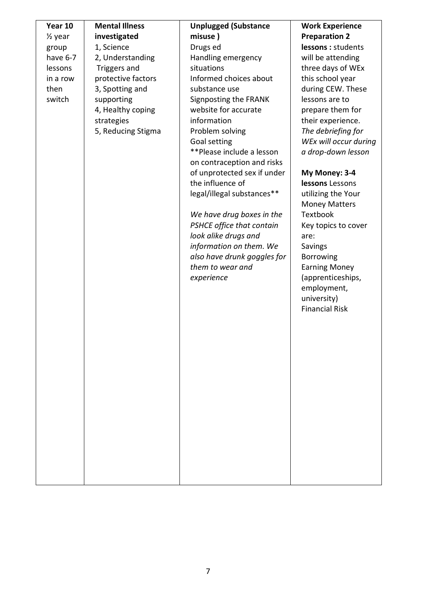| Year 10            | <b>Mental Illness</b> | <b>Unplugged (Substance</b> | <b>Work Experience</b> |
|--------------------|-----------------------|-----------------------------|------------------------|
| $\frac{1}{2}$ year | investigated          | misuse)                     | <b>Preparation 2</b>   |
| group              | 1, Science            | Drugs ed                    | lessons : students     |
| have 6-7           | 2, Understanding      | Handling emergency          | will be attending      |
| lessons            | Triggers and          | situations                  |                        |
|                    |                       |                             | three days of WEx      |
| in a row           | protective factors    | Informed choices about      | this school year       |
| then               | 3, Spotting and       | substance use               | during CEW. These      |
| switch             | supporting            | Signposting the FRANK       | lessons are to         |
|                    | 4, Healthy coping     | website for accurate        | prepare them for       |
|                    | strategies            | information                 | their experience.      |
|                    | 5, Reducing Stigma    | Problem solving             | The debriefing for     |
|                    |                       | Goal setting                | WEx will occur during  |
|                    |                       | **Please include a lesson   | a drop-down lesson     |
|                    |                       | on contraception and risks  |                        |
|                    |                       | of unprotected sex if under | My Money: 3-4          |
|                    |                       | the influence of            | lessons Lessons        |
|                    |                       | legal/illegal substances**  | utilizing the Your     |
|                    |                       |                             | <b>Money Matters</b>   |
|                    |                       | We have drug boxes in the   | <b>Textbook</b>        |
|                    |                       | PSHCE office that contain   | Key topics to cover    |
|                    |                       | look alike drugs and        | are:                   |
|                    |                       | information on them. We     | Savings                |
|                    |                       | also have drunk goggles for | <b>Borrowing</b>       |
|                    |                       | them to wear and            | <b>Earning Money</b>   |
|                    |                       | experience                  | (apprenticeships,      |
|                    |                       |                             | employment,            |
|                    |                       |                             | university)            |
|                    |                       |                             | <b>Financial Risk</b>  |
|                    |                       |                             |                        |
|                    |                       |                             |                        |
|                    |                       |                             |                        |
|                    |                       |                             |                        |
|                    |                       |                             |                        |
|                    |                       |                             |                        |
|                    |                       |                             |                        |
|                    |                       |                             |                        |
|                    |                       |                             |                        |
|                    |                       |                             |                        |
|                    |                       |                             |                        |
|                    |                       |                             |                        |
|                    |                       |                             |                        |
|                    |                       |                             |                        |
|                    |                       |                             |                        |
|                    |                       |                             |                        |
|                    |                       |                             |                        |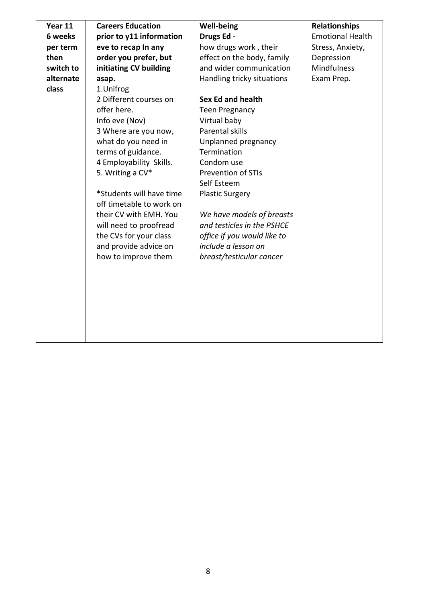| Year 11   | <b>Careers Education</b>                             | <b>Well-being</b>           | <b>Relationships</b>    |
|-----------|------------------------------------------------------|-----------------------------|-------------------------|
| 6 weeks   | prior to y11 information                             | Drugs Ed -                  | <b>Emotional Health</b> |
| per term  | eve to recap In any                                  | how drugs work, their       | Stress, Anxiety,        |
| then      | order you prefer, but                                | effect on the body, family  | Depression              |
| switch to | initiating CV building                               | and wider communication     | <b>Mindfulness</b>      |
| alternate | asap.                                                | Handling tricky situations  | Exam Prep.              |
| class     | 1.Unifrog                                            |                             |                         |
|           | 2 Different courses on                               | <b>Sex Ed and health</b>    |                         |
|           | offer here.                                          | <b>Teen Pregnancy</b>       |                         |
|           | Info eve (Nov)                                       | Virtual baby                |                         |
|           | 3 Where are you now,                                 | Parental skills             |                         |
|           | what do you need in                                  | Unplanned pregnancy         |                         |
|           | terms of guidance.                                   | Termination                 |                         |
|           | 4 Employability Skills.                              | Condom use                  |                         |
|           | 5. Writing a CV*                                     | <b>Prevention of STIs</b>   |                         |
|           |                                                      | Self Esteem                 |                         |
|           | *Students will have time<br>off timetable to work on | <b>Plastic Surgery</b>      |                         |
|           | their CV with EMH. You                               | We have models of breasts   |                         |
|           | will need to proofread                               | and testicles in the PSHCE  |                         |
|           | the CVs for your class                               | office if you would like to |                         |
|           | and provide advice on                                | include a lesson on         |                         |
|           | how to improve them                                  | breast/testicular cancer    |                         |
|           |                                                      |                             |                         |
|           |                                                      |                             |                         |
|           |                                                      |                             |                         |
|           |                                                      |                             |                         |
|           |                                                      |                             |                         |
|           |                                                      |                             |                         |
|           |                                                      |                             |                         |
|           |                                                      |                             |                         |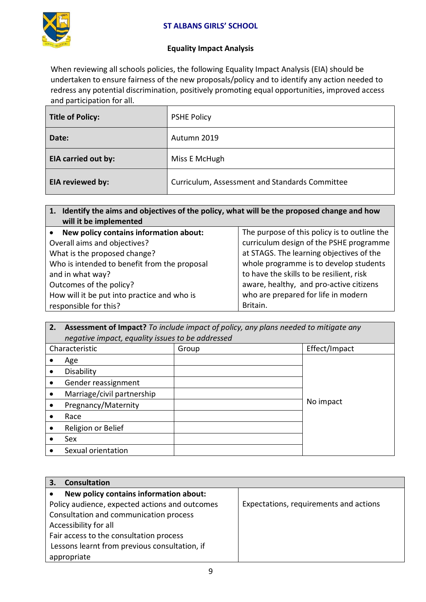

## **Equality Impact Analysis**

When reviewing all schools policies, the following Equality Impact Analysis (EIA) should be undertaken to ensure fairness of the new proposals/policy and to identify any action needed to redress any potential discrimination, positively promoting equal opportunities, improved access and participation for all.

| Title of Policy:           | <b>PSHE Policy</b>                             |
|----------------------------|------------------------------------------------|
| Date:                      | Autumn 2019                                    |
| <b>EIA carried out by:</b> | Miss E McHugh                                  |
| EIA reviewed by:           | Curriculum, Assessment and Standards Committee |

**1. Identify the aims and objectives of the policy, what will be the proposed change and how will it be implemented**

| • New policy contains information about:     | The purpose of this policy is to outline the |
|----------------------------------------------|----------------------------------------------|
| Overall aims and objectives?                 | curriculum design of the PSHE programme      |
| What is the proposed change?                 | at STAGS. The learning objectives of the     |
| Who is intended to benefit from the proposal | whole programme is to develop students       |
| and in what way?                             | to have the skills to be resilient, risk     |
| Outcomes of the policy?                      | aware, healthy, and pro-active citizens      |
| How will it be put into practice and who is  | who are prepared for life in modern          |
| responsible for this?                        | Britain.                                     |

**2. Assessment of Impact?** *To include impact of policy, any plans needed to mitigate any negative impact, equality issues to be addressed*

| $1.1$ and $1.1$ . The area is a family too area to the and the cool of |       |               |  |  |
|------------------------------------------------------------------------|-------|---------------|--|--|
| Characteristic                                                         | Group | Effect/Impact |  |  |
| Age                                                                    |       |               |  |  |
| Disability                                                             |       |               |  |  |
| Gender reassignment                                                    |       |               |  |  |
| Marriage/civil partnership                                             |       |               |  |  |
| Pregnancy/Maternity                                                    |       | No impact     |  |  |
| Race                                                                   |       |               |  |  |
| Religion or Belief                                                     |       |               |  |  |
| Sex                                                                    |       |               |  |  |
| Sexual orientation                                                     |       |               |  |  |

| <b>Consultation</b><br>З.                      |                                        |
|------------------------------------------------|----------------------------------------|
| New policy contains information about:         |                                        |
| Policy audience, expected actions and outcomes | Expectations, requirements and actions |
| Consultation and communication process         |                                        |
| Accessibility for all                          |                                        |
| Fair access to the consultation process        |                                        |
| Lessons learnt from previous consultation, if  |                                        |
| appropriate                                    |                                        |